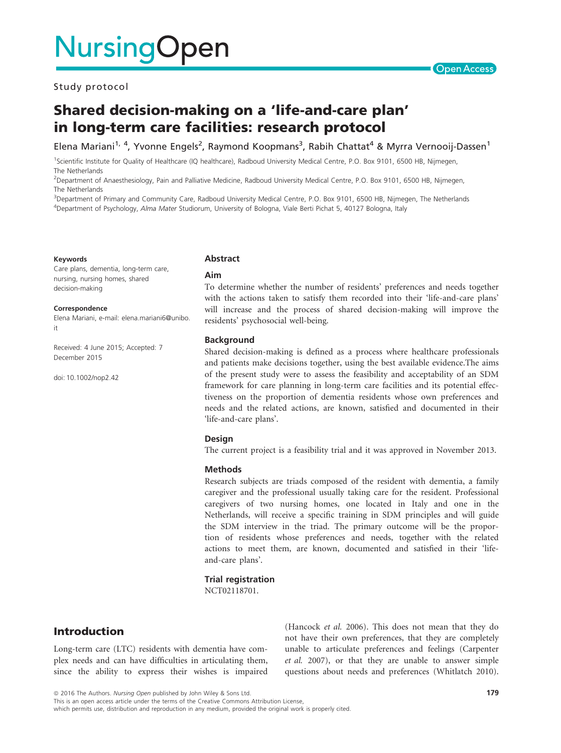# **NursingOpen**

## Study protocol



# Shared decision-making on a 'life-and-care plan' in long-term care facilities: research protocol

Elena Mariani<sup>1, 4</sup>, Yvonne Engels<sup>2</sup>, Raymond Koopmans<sup>3</sup>, Rabih Chattat<sup>4</sup> & Myrra Vernooij-Dassen<sup>1</sup>

<sup>1</sup>Scientific Institute for Quality of Healthcare (IQ healthcare), Radboud University Medical Centre, P.O. Box 9101, 6500 HB, Nijmegen, The Netherlands

2 Department of Anaesthesiology, Pain and Palliative Medicine, Radboud University Medical Centre, P.O. Box 9101, 6500 HB, Nijmegen, The Netherlands

<sup>3</sup>Department of Primary and Community Care, Radboud University Medical Centre, P.O. Box 9101, 6500 HB, Nijmegen, The Netherlands 4 Department of Psychology, Alma Mater Studiorum, University of Bologna, Viale Berti Pichat 5, 40127 Bologna, Italy

#### Keywords

Care plans, dementia, long-term care, nursing, nursing homes, shared decision-making

#### Correspondence

Elena Mariani, e-mail: elena.mariani6@unibo. it

Received: 4 June 2015; Accepted: 7 December 2015

doi: 10.1002/nop2.42

#### Abstract

#### Aim

To determine whether the number of residents' preferences and needs together with the actions taken to satisfy them recorded into their 'life-and-care plans' will increase and the process of shared decision-making will improve the residents' psychosocial well-being.

#### Background

Shared decision-making is defined as a process where healthcare professionals and patients make decisions together, using the best available evidence.The aims of the present study were to assess the feasibility and acceptability of an SDM framework for care planning in long-term care facilities and its potential effectiveness on the proportion of dementia residents whose own preferences and needs and the related actions, are known, satisfied and documented in their 'life-and-care plans'.

#### **Design**

The current project is a feasibility trial and it was approved in November 2013.

#### Methods

Research subjects are triads composed of the resident with dementia, a family caregiver and the professional usually taking care for the resident. Professional caregivers of two nursing homes, one located in Italy and one in the Netherlands, will receive a specific training in SDM principles and will guide the SDM interview in the triad. The primary outcome will be the proportion of residents whose preferences and needs, together with the related actions to meet them, are known, documented and satisfied in their 'lifeand-care plans'.

#### Trial registration

NCT02118701.

# Introduction

Long-term care (LTC) residents with dementia have complex needs and can have difficulties in articulating them, since the ability to express their wishes is impaired (Hancock et al. 2006). This does not mean that they do not have their own preferences, that they are completely unable to articulate preferences and feelings (Carpenter et al. 2007), or that they are unable to answer simple questions about needs and preferences (Whitlatch 2010).

ª 2016 The Authors. Nursing Open published by John Wiley & Sons Ltd.

This is an open access article under the terms of the [Creative Commons Attribution](http://creativecommons.org/licenses/by/4.0/) License,

which permits use, distribution and reproduction in any medium, provided the original work is properly cited.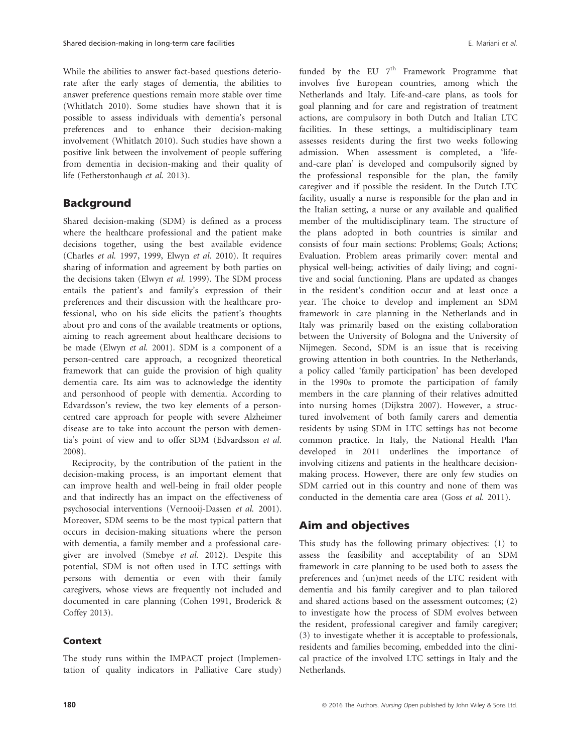While the abilities to answer fact-based questions deteriorate after the early stages of dementia, the abilities to answer preference questions remain more stable over time (Whitlatch 2010). Some studies have shown that it is possible to assess individuals with dementia's personal preferences and to enhance their decision-making involvement (Whitlatch 2010). Such studies have shown a positive link between the involvement of people suffering from dementia in decision-making and their quality of life (Fetherstonhaugh et al. 2013).

# Background

Shared decision-making (SDM) is defined as a process where the healthcare professional and the patient make decisions together, using the best available evidence (Charles et al. 1997, 1999, Elwyn et al. 2010). It requires sharing of information and agreement by both parties on the decisions taken (Elwyn et al. 1999). The SDM process entails the patient's and family's expression of their preferences and their discussion with the healthcare professional, who on his side elicits the patient's thoughts about pro and cons of the available treatments or options, aiming to reach agreement about healthcare decisions to be made (Elwyn et al. 2001). SDM is a component of a person-centred care approach, a recognized theoretical framework that can guide the provision of high quality dementia care. Its aim was to acknowledge the identity and personhood of people with dementia. According to Edvardsson's review, the two key elements of a personcentred care approach for people with severe Alzheimer disease are to take into account the person with dementia's point of view and to offer SDM (Edvardsson et al. 2008).

Reciprocity, by the contribution of the patient in the decision-making process, is an important element that can improve health and well-being in frail older people and that indirectly has an impact on the effectiveness of psychosocial interventions (Vernooij-Dassen et al. 2001). Moreover, SDM seems to be the most typical pattern that occurs in decision-making situations where the person with dementia, a family member and a professional caregiver are involved (Smebye et al. 2012). Despite this potential, SDM is not often used in LTC settings with persons with dementia or even with their family caregivers, whose views are frequently not included and documented in care planning (Cohen 1991, Broderick & Coffey 2013).

## Context

The study runs within the IMPACT project (Implementation of quality indicators in Palliative Care study) funded by the EU  $7<sup>th</sup>$  Framework Programme that involves five European countries, among which the Netherlands and Italy. Life-and-care plans, as tools for goal planning and for care and registration of treatment actions, are compulsory in both Dutch and Italian LTC facilities. In these settings, a multidisciplinary team assesses residents during the first two weeks following admission. When assessment is completed, a 'lifeand-care plan' is developed and compulsorily signed by the professional responsible for the plan, the family caregiver and if possible the resident. In the Dutch LTC facility, usually a nurse is responsible for the plan and in the Italian setting, a nurse or any available and qualified member of the multidisciplinary team. The structure of the plans adopted in both countries is similar and consists of four main sections: Problems; Goals; Actions; Evaluation. Problem areas primarily cover: mental and physical well-being; activities of daily living; and cognitive and social functioning. Plans are updated as changes in the resident's condition occur and at least once a year. The choice to develop and implement an SDM framework in care planning in the Netherlands and in Italy was primarily based on the existing collaboration between the University of Bologna and the University of Nijmegen. Second, SDM is an issue that is receiving growing attention in both countries. In the Netherlands, a policy called 'family participation' has been developed in the 1990s to promote the participation of family members in the care planning of their relatives admitted into nursing homes (Dijkstra 2007). However, a structured involvement of both family carers and dementia residents by using SDM in LTC settings has not become common practice. In Italy, the National Health Plan developed in 2011 underlines the importance of involving citizens and patients in the healthcare decisionmaking process. However, there are only few studies on SDM carried out in this country and none of them was conducted in the dementia care area (Goss et al. 2011).

# Aim and objectives

This study has the following primary objectives: (1) to assess the feasibility and acceptability of an SDM framework in care planning to be used both to assess the preferences and (un)met needs of the LTC resident with dementia and his family caregiver and to plan tailored and shared actions based on the assessment outcomes; (2) to investigate how the process of SDM evolves between the resident, professional caregiver and family caregiver; (3) to investigate whether it is acceptable to professionals, residents and families becoming, embedded into the clinical practice of the involved LTC settings in Italy and the Netherlands.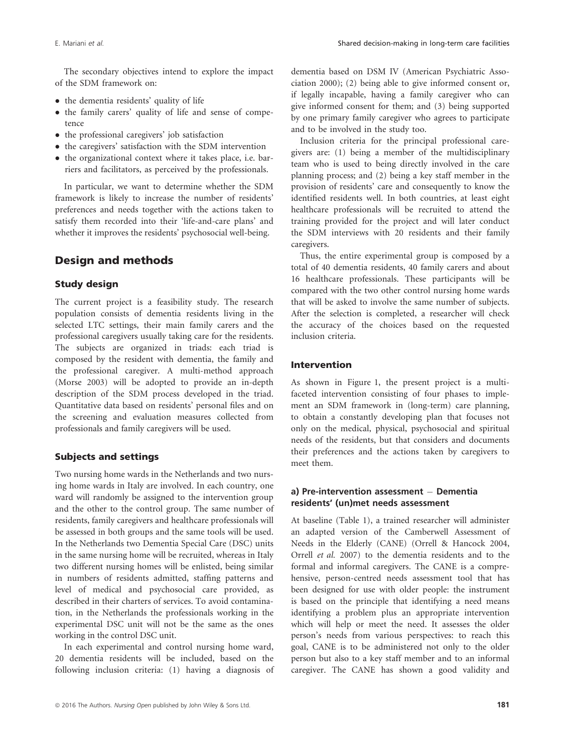The secondary objectives intend to explore the impact of the SDM framework on:

- the dementia residents' quality of life
- the family carers' quality of life and sense of competence
- the professional caregivers' job satisfaction
- the caregivers' satisfaction with the SDM intervention
- the organizational context where it takes place, i.e. barriers and facilitators, as perceived by the professionals.

In particular, we want to determine whether the SDM framework is likely to increase the number of residents' preferences and needs together with the actions taken to satisfy them recorded into their 'life-and-care plans' and whether it improves the residents' psychosocial well-being.

## Design and methods

## Study design

The current project is a feasibility study. The research population consists of dementia residents living in the selected LTC settings, their main family carers and the professional caregivers usually taking care for the residents. The subjects are organized in triads: each triad is composed by the resident with dementia, the family and the professional caregiver. A multi-method approach (Morse 2003) will be adopted to provide an in-depth description of the SDM process developed in the triad. Quantitative data based on residents' personal files and on the screening and evaluation measures collected from professionals and family caregivers will be used.

#### Subjects and settings

Two nursing home wards in the Netherlands and two nursing home wards in Italy are involved. In each country, one ward will randomly be assigned to the intervention group and the other to the control group. The same number of residents, family caregivers and healthcare professionals will be assessed in both groups and the same tools will be used. In the Netherlands two Dementia Special Care (DSC) units in the same nursing home will be recruited, whereas in Italy two different nursing homes will be enlisted, being similar in numbers of residents admitted, staffing patterns and level of medical and psychosocial care provided, as described in their charters of services. To avoid contamination, in the Netherlands the professionals working in the experimental DSC unit will not be the same as the ones working in the control DSC unit.

In each experimental and control nursing home ward, 20 dementia residents will be included, based on the following inclusion criteria: (1) having a diagnosis of dementia based on DSM IV (American Psychiatric Association 2000); (2) being able to give informed consent or, if legally incapable, having a family caregiver who can give informed consent for them; and (3) being supported by one primary family caregiver who agrees to participate and to be involved in the study too.

Inclusion criteria for the principal professional caregivers are: (1) being a member of the multidisciplinary team who is used to being directly involved in the care planning process; and (2) being a key staff member in the provision of residents' care and consequently to know the identified residents well. In both countries, at least eight healthcare professionals will be recruited to attend the training provided for the project and will later conduct the SDM interviews with 20 residents and their family caregivers.

Thus, the entire experimental group is composed by a total of 40 dementia residents, 40 family carers and about 16 healthcare professionals. These participants will be compared with the two other control nursing home wards that will be asked to involve the same number of subjects. After the selection is completed, a researcher will check the accuracy of the choices based on the requested inclusion criteria.

#### Intervention

As shown in Figure 1, the present project is a multifaceted intervention consisting of four phases to implement an SDM framework in (long-term) care planning, to obtain a constantly developing plan that focuses not only on the medical, physical, psychosocial and spiritual needs of the residents, but that considers and documents their preferences and the actions taken by caregivers to meet them.

## a) Pre-intervention assessment  $-$  Dementia residents' (un)met needs assessment

At baseline (Table 1), a trained researcher will administer an adapted version of the Camberwell Assessment of Needs in the Elderly (CANE) (Orrell & Hancock 2004, Orrell et al. 2007) to the dementia residents and to the formal and informal caregivers. The CANE is a comprehensive, person-centred needs assessment tool that has been designed for use with older people: the instrument is based on the principle that identifying a need means identifying a problem plus an appropriate intervention which will help or meet the need. It assesses the older person's needs from various perspectives: to reach this goal, CANE is to be administered not only to the older person but also to a key staff member and to an informal caregiver. The CANE has shown a good validity and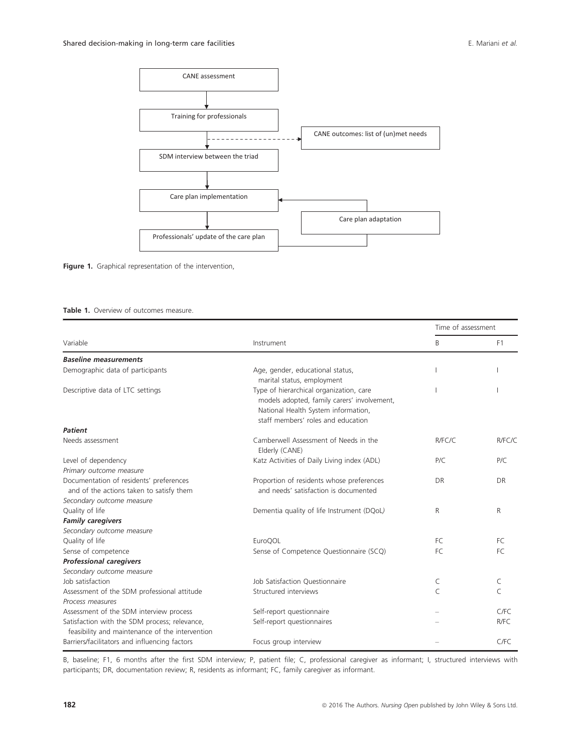

Figure 1. Graphical representation of the intervention,

#### Table 1. Overview of outcomes measure.

| Variable                                                                                         | Instrument                                                                                                                                                          | Time of assessment |                |
|--------------------------------------------------------------------------------------------------|---------------------------------------------------------------------------------------------------------------------------------------------------------------------|--------------------|----------------|
|                                                                                                  |                                                                                                                                                                     | B                  | F <sub>1</sub> |
| <b>Baseline measurements</b>                                                                     |                                                                                                                                                                     |                    |                |
| Demographic data of participants                                                                 | Age, gender, educational status,<br>marital status, employment                                                                                                      |                    |                |
| Descriptive data of LTC settings                                                                 | Type of hierarchical organization, care<br>models adopted, family carers' involvement,<br>National Health System information,<br>staff members' roles and education |                    |                |
| <b>Patient</b>                                                                                   |                                                                                                                                                                     |                    |                |
| Needs assessment                                                                                 | Camberwell Assessment of Needs in the<br>Elderly (CANE)                                                                                                             | R/FC/C             | R/FC/C         |
| Level of dependency                                                                              | Katz Activities of Daily Living index (ADL)                                                                                                                         | P/C                | P/C            |
| Primary outcome measure                                                                          |                                                                                                                                                                     |                    |                |
| Documentation of residents' preferences<br>and of the actions taken to satisfy them              | Proportion of residents whose preferences<br>and needs' satisfaction is documented                                                                                  | <b>DR</b>          | <b>DR</b>      |
| Secondary outcome measure                                                                        |                                                                                                                                                                     |                    |                |
| Quality of life                                                                                  | Dementia quality of life Instrument (DQoL)                                                                                                                          | R                  | R              |
| <b>Family caregivers</b>                                                                         |                                                                                                                                                                     |                    |                |
| Secondary outcome measure                                                                        |                                                                                                                                                                     |                    |                |
| Quality of life                                                                                  | EuroQOL                                                                                                                                                             | FC.                | FC.            |
| Sense of competence                                                                              | Sense of Competence Questionnaire (SCQ)                                                                                                                             | FC.                | FC.            |
| <b>Professional caregivers</b>                                                                   |                                                                                                                                                                     |                    |                |
| Secondary outcome measure                                                                        |                                                                                                                                                                     |                    |                |
| Job satisfaction                                                                                 | Job Satisfaction Questionnaire                                                                                                                                      | C                  | C              |
| Assessment of the SDM professional attitude                                                      | Structured interviews                                                                                                                                               | $\mathsf{C}$       | $\mathsf{C}$   |
| Process measures                                                                                 |                                                                                                                                                                     |                    |                |
| Assessment of the SDM interview process                                                          | Self-report questionnaire                                                                                                                                           |                    | C/FC           |
| Satisfaction with the SDM process; relevance,<br>feasibility and maintenance of the intervention | Self-report questionnaires                                                                                                                                          |                    | R/FC           |
| Barriers/facilitators and influencing factors                                                    | Focus group interview                                                                                                                                               |                    | C/FC           |

B, baseline; F1, 6 months after the first SDM interview; P, patient file; C, professional caregiver as informant; I, structured interviews with participants; DR, documentation review; R, residents as informant; FC, family caregiver as informant.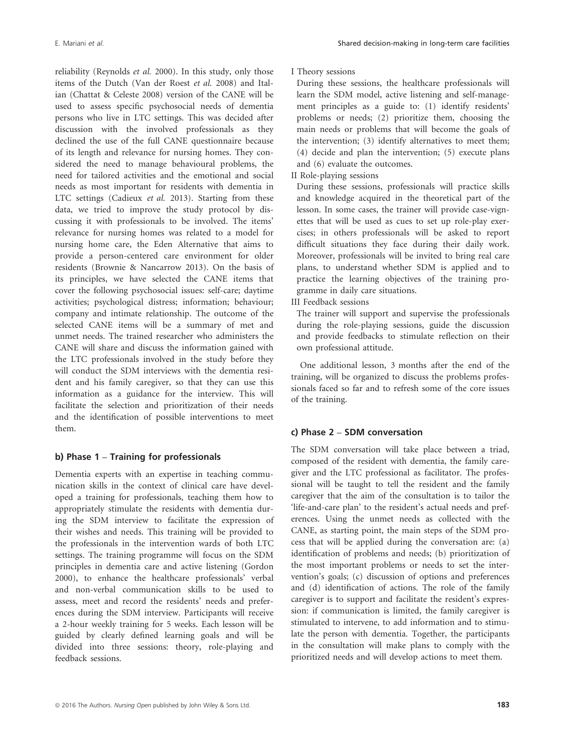reliability (Reynolds et al. 2000). In this study, only those items of the Dutch (Van der Roest et al. 2008) and Italian (Chattat & Celeste 2008) version of the CANE will be used to assess specific psychosocial needs of dementia persons who live in LTC settings. This was decided after discussion with the involved professionals as they declined the use of the full CANE questionnaire because of its length and relevance for nursing homes. They considered the need to manage behavioural problems, the need for tailored activities and the emotional and social needs as most important for residents with dementia in LTC settings (Cadieux et al. 2013). Starting from these data, we tried to improve the study protocol by discussing it with professionals to be involved. The items' relevance for nursing homes was related to a model for nursing home care, the Eden Alternative that aims to provide a person-centered care environment for older residents (Brownie & Nancarrow 2013). On the basis of its principles, we have selected the CANE items that cover the following psychosocial issues: self-care; daytime activities; psychological distress; information; behaviour; company and intimate relationship. The outcome of the selected CANE items will be a summary of met and unmet needs. The trained researcher who administers the CANE will share and discuss the information gained with the LTC professionals involved in the study before they will conduct the SDM interviews with the dementia resident and his family caregiver, so that they can use this information as a guidance for the interview. This will facilitate the selection and prioritization of their needs and the identification of possible interventions to meet them.

#### b) Phase 1 – Training for professionals

Dementia experts with an expertise in teaching communication skills in the context of clinical care have developed a training for professionals, teaching them how to appropriately stimulate the residents with dementia during the SDM interview to facilitate the expression of their wishes and needs. This training will be provided to the professionals in the intervention wards of both LTC settings. The training programme will focus on the SDM principles in dementia care and active listening (Gordon 2000), to enhance the healthcare professionals' verbal and non-verbal communication skills to be used to assess, meet and record the residents' needs and preferences during the SDM interview. Participants will receive a 2-hour weekly training for 5 weeks. Each lesson will be guided by clearly defined learning goals and will be divided into three sessions: theory, role-playing and feedback sessions.

#### I Theory sessions

During these sessions, the healthcare professionals will learn the SDM model, active listening and self-management principles as a guide to: (1) identify residents' problems or needs; (2) prioritize them, choosing the main needs or problems that will become the goals of the intervention; (3) identify alternatives to meet them; (4) decide and plan the intervention; (5) execute plans and (6) evaluate the outcomes.

II Role-playing sessions

During these sessions, professionals will practice skills and knowledge acquired in the theoretical part of the lesson. In some cases, the trainer will provide case-vignettes that will be used as cues to set up role-play exercises; in others professionals will be asked to report difficult situations they face during their daily work. Moreover, professionals will be invited to bring real care plans, to understand whether SDM is applied and to practice the learning objectives of the training programme in daily care situations.

III Feedback sessions

The trainer will support and supervise the professionals during the role-playing sessions, guide the discussion and provide feedbacks to stimulate reflection on their own professional attitude.

One additional lesson, 3 months after the end of the training, will be organized to discuss the problems professionals faced so far and to refresh some of the core issues of the training.

#### c) Phase 2 – SDM conversation

The SDM conversation will take place between a triad, composed of the resident with dementia, the family caregiver and the LTC professional as facilitator. The professional will be taught to tell the resident and the family caregiver that the aim of the consultation is to tailor the 'life-and-care plan' to the resident's actual needs and preferences. Using the unmet needs as collected with the CANE, as starting point, the main steps of the SDM process that will be applied during the conversation are: (a) identification of problems and needs; (b) prioritization of the most important problems or needs to set the intervention's goals; (c) discussion of options and preferences and (d) identification of actions. The role of the family caregiver is to support and facilitate the resident's expression: if communication is limited, the family caregiver is stimulated to intervene, to add information and to stimulate the person with dementia. Together, the participants in the consultation will make plans to comply with the prioritized needs and will develop actions to meet them.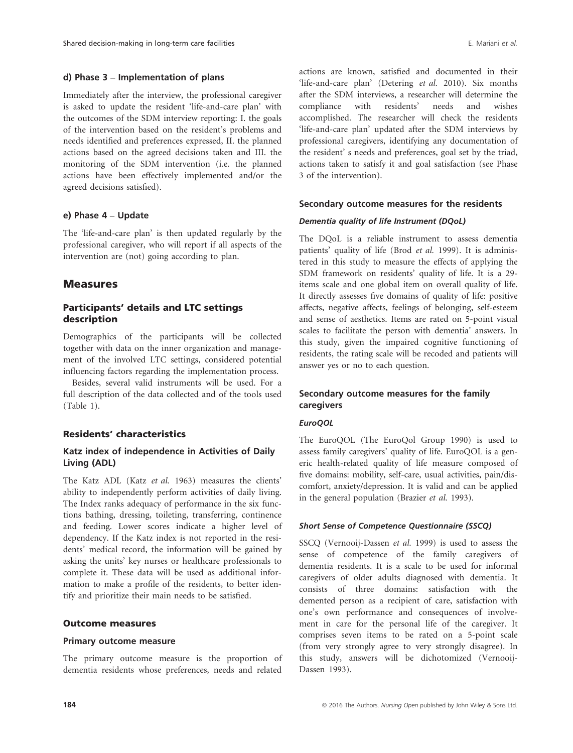#### d) Phase 3 – Implementation of plans

Immediately after the interview, the professional caregiver is asked to update the resident 'life-and-care plan' with the outcomes of the SDM interview reporting: I. the goals of the intervention based on the resident's problems and needs identified and preferences expressed, II. the planned actions based on the agreed decisions taken and III. the monitoring of the SDM intervention (i.e. the planned actions have been effectively implemented and/or the agreed decisions satisfied).

#### e) Phase 4 – Update

The 'life-and-care plan' is then updated regularly by the professional caregiver, who will report if all aspects of the intervention are (not) going according to plan.

## Measures

## Participants' details and LTC settings description

Demographics of the participants will be collected together with data on the inner organization and management of the involved LTC settings, considered potential influencing factors regarding the implementation process.

Besides, several valid instruments will be used. For a full description of the data collected and of the tools used (Table 1).

## Residents' characteristics

## Katz index of independence in Activities of Daily Living (ADL)

The Katz ADL (Katz et al. 1963) measures the clients' ability to independently perform activities of daily living. The Index ranks adequacy of performance in the six functions bathing, dressing, toileting, transferring, continence and feeding. Lower scores indicate a higher level of dependency. If the Katz index is not reported in the residents' medical record, the information will be gained by asking the units' key nurses or healthcare professionals to complete it. These data will be used as additional information to make a profile of the residents, to better identify and prioritize their main needs to be satisfied.

## Outcome measures

#### Primary outcome measure

The primary outcome measure is the proportion of dementia residents whose preferences, needs and related actions are known, satisfied and documented in their 'life-and-care plan' (Detering et al. 2010). Six months after the SDM interviews, a researcher will determine the compliance with residents' needs and wishes accomplished. The researcher will check the residents 'life-and-care plan' updated after the SDM interviews by professional caregivers, identifying any documentation of the resident' s needs and preferences, goal set by the triad, actions taken to satisfy it and goal satisfaction (see Phase 3 of the intervention).

#### Secondary outcome measures for the residents

# Dementia quality of life Instrument (DQoL)

The DQoL is a reliable instrument to assess dementia patients' quality of life (Brod et al. 1999). It is administered in this study to measure the effects of applying the SDM framework on residents' quality of life. It is a 29 items scale and one global item on overall quality of life. It directly assesses five domains of quality of life: positive affects, negative affects, feelings of belonging, self-esteem and sense of aesthetics. Items are rated on 5-point visual scales to facilitate the person with dementia' answers. In this study, given the impaired cognitive functioning of residents, the rating scale will be recoded and patients will answer yes or no to each question.

## Secondary outcome measures for the family caregivers

#### **EuroOOL** EuroQOL

The EuroQOL (The EuroQol Group 1990) is used to assess family caregivers' quality of life. EuroQOL is a generic health-related quality of life measure composed of five domains: mobility, self-care, usual activities, pain/discomfort, anxiety/depression. It is valid and can be applied in the general population (Brazier et al. 1993).

#### Short Sense of Competence Questionnaire (SSCQ)

SSCQ (Vernooij-Dassen et al. 1999) is used to assess the sense of competence of the family caregivers of dementia residents. It is a scale to be used for informal caregivers of older adults diagnosed with dementia. It consists of three domains: satisfaction with the demented person as a recipient of care, satisfaction with one's own performance and consequences of involvement in care for the personal life of the caregiver. It comprises seven items to be rated on a 5-point scale (from very strongly agree to very strongly disagree). In this study, answers will be dichotomized (Vernooij-Dassen 1993).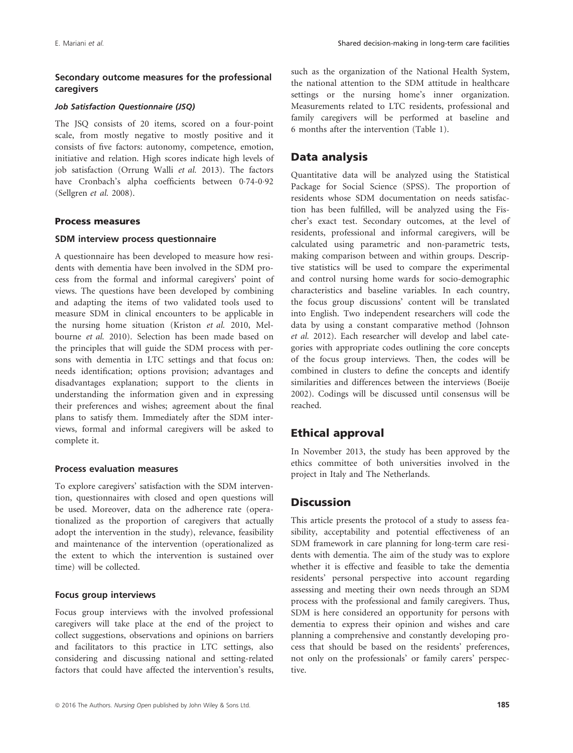## Secondary outcome measures for the professional caregivers

# Job Satisfaction Questionnaire (JSQ)

The JSQ consists of 20 items, scored on a four-point scale, from mostly negative to mostly positive and it consists of five factors: autonomy, competence, emotion, initiative and relation. High scores indicate high levels of job satisfaction (Orrung Walli et al. 2013). The factors have Cronbach's alpha coefficients between 0.74-0.92 (Sellgren et al. 2008).

#### Process measures

#### SDM interview process questionnaire

A questionnaire has been developed to measure how residents with dementia have been involved in the SDM process from the formal and informal caregivers' point of views. The questions have been developed by combining and adapting the items of two validated tools used to measure SDM in clinical encounters to be applicable in the nursing home situation (Kriston et al. 2010, Melbourne et al. 2010). Selection has been made based on the principles that will guide the SDM process with persons with dementia in LTC settings and that focus on: needs identification; options provision; advantages and disadvantages explanation; support to the clients in understanding the information given and in expressing their preferences and wishes; agreement about the final plans to satisfy them. Immediately after the SDM interviews, formal and informal caregivers will be asked to complete it.

#### Process evaluation measures

To explore caregivers' satisfaction with the SDM intervention, questionnaires with closed and open questions will be used. Moreover, data on the adherence rate (operationalized as the proportion of caregivers that actually adopt the intervention in the study), relevance, feasibility and maintenance of the intervention (operationalized as the extent to which the intervention is sustained over time) will be collected.

#### Focus group interviews

Focus group interviews with the involved professional caregivers will take place at the end of the project to collect suggestions, observations and opinions on barriers and facilitators to this practice in LTC settings, also considering and discussing national and setting-related factors that could have affected the intervention's results, such as the organization of the National Health System, the national attention to the SDM attitude in healthcare settings or the nursing home's inner organization. Measurements related to LTC residents, professional and family caregivers will be performed at baseline and 6 months after the intervention (Table 1).

## Data analysis

Quantitative data will be analyzed using the Statistical Package for Social Science (SPSS). The proportion of residents whose SDM documentation on needs satisfaction has been fulfilled, will be analyzed using the Fischer's exact test. Secondary outcomes, at the level of residents, professional and informal caregivers, will be calculated using parametric and non-parametric tests, making comparison between and within groups. Descriptive statistics will be used to compare the experimental and control nursing home wards for socio-demographic characteristics and baseline variables. In each country, the focus group discussions' content will be translated into English. Two independent researchers will code the data by using a constant comparative method (Johnson et al. 2012). Each researcher will develop and label categories with appropriate codes outlining the core concepts of the focus group interviews. Then, the codes will be combined in clusters to define the concepts and identify similarities and differences between the interviews (Boeije 2002). Codings will be discussed until consensus will be reached.

## Ethical approval

In November 2013, the study has been approved by the ethics committee of both universities involved in the project in Italy and The Netherlands.

## **Discussion**

This article presents the protocol of a study to assess feasibility, acceptability and potential effectiveness of an SDM framework in care planning for long-term care residents with dementia. The aim of the study was to explore whether it is effective and feasible to take the dementia residents' personal perspective into account regarding assessing and meeting their own needs through an SDM process with the professional and family caregivers. Thus, SDM is here considered an opportunity for persons with dementia to express their opinion and wishes and care planning a comprehensive and constantly developing process that should be based on the residents' preferences, not only on the professionals' or family carers' perspective.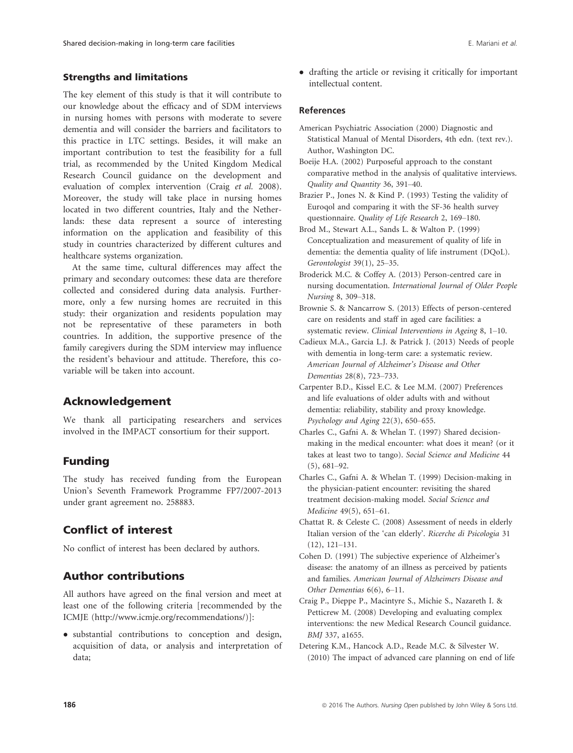## Strengths and limitations

The key element of this study is that it will contribute to our knowledge about the efficacy and of SDM interviews in nursing homes with persons with moderate to severe dementia and will consider the barriers and facilitators to this practice in LTC settings. Besides, it will make an important contribution to test the feasibility for a full trial, as recommended by the United Kingdom Medical Research Council guidance on the development and evaluation of complex intervention (Craig et al. 2008). Moreover, the study will take place in nursing homes located in two different countries, Italy and the Netherlands: these data represent a source of interesting information on the application and feasibility of this study in countries characterized by different cultures and healthcare systems organization.

At the same time, cultural differences may affect the primary and secondary outcomes: these data are therefore collected and considered during data analysis. Furthermore, only a few nursing homes are recruited in this study: their organization and residents population may not be representative of these parameters in both countries. In addition, the supportive presence of the family caregivers during the SDM interview may influence the resident's behaviour and attitude. Therefore, this covariable will be taken into account.

# Acknowledgement

We thank all participating researchers and services involved in the IMPACT consortium for their support.

## Funding

The study has received funding from the European Union's Seventh Framework Programme FP7/2007-2013 under grant agreement no. 258883.

# Conflict of interest

No conflict of interest has been declared by authors.

## Author contributions

All authors have agreed on the final version and meet at least one of the following criteria [recommended by the ICMJE ([http://www.icmje.org/recommendations/\)](http://www.icmje.org/recommendations/)]:

 substantial contributions to conception and design, acquisition of data, or analysis and interpretation of data;

• drafting the article or revising it critically for important intellectual content.

## References

- American Psychiatric Association (2000) Diagnostic and Statistical Manual of Mental Disorders, 4th edn. (text rev.). Author, Washington DC.
- Boeije H.A. (2002) Purposeful approach to the constant comparative method in the analysis of qualitative interviews. Quality and Quantity 36, 391–40.
- Brazier P., Jones N. & Kind P. (1993) Testing the validity of Euroqol and comparing it with the SF-36 health survey questionnaire. Quality of Life Research 2, 169–180.
- Brod M., Stewart A.L., Sands L. & Walton P. (1999) Conceptualization and measurement of quality of life in dementia: the dementia quality of life instrument (DQoL). Gerontologist 39(1), 25–35.
- Broderick M.C. & Coffey A. (2013) Person-centred care in nursing documentation. International Journal of Older People Nursing 8, 309–318.
- Brownie S. & Nancarrow S. (2013) Effects of person-centered care on residents and staff in aged care facilities: a systematic review. Clinical Interventions in Ageing 8, 1–10.
- Cadieux M.A., Garcia L.J. & Patrick J. (2013) Needs of people with dementia in long-term care: a systematic review. American Journal of Alzheimer's Disease and Other Dementias 28(8), 723–733.
- Carpenter B.D., Kissel E.C. & Lee M.M. (2007) Preferences and life evaluations of older adults with and without dementia: reliability, stability and proxy knowledge. Psychology and Aging 22(3), 650–655.
- Charles C., Gafni A. & Whelan T. (1997) Shared decisionmaking in the medical encounter: what does it mean? (or it takes at least two to tango). Social Science and Medicine 44 (5), 681–92.
- Charles C., Gafni A. & Whelan T. (1999) Decision-making in the physician-patient encounter: revisiting the shared treatment decision-making model. Social Science and Medicine 49(5), 651–61.
- Chattat R. & Celeste C. (2008) Assessment of needs in elderly Italian version of the 'can elderly'. Ricerche di Psicologia 31 (12), 121–131.
- Cohen D. (1991) The subjective experience of Alzheimer's disease: the anatomy of an illness as perceived by patients and families. American Journal of Alzheimers Disease and Other Dementias 6(6), 6–11.
- Craig P., Dieppe P., Macintyre S., Michie S., Nazareth I. & Petticrew M. (2008) Developing and evaluating complex interventions: the new Medical Research Council guidance. BMJ 337, a1655.
- Detering K.M., Hancock A.D., Reade M.C. & Silvester W. (2010) The impact of advanced care planning on end of life